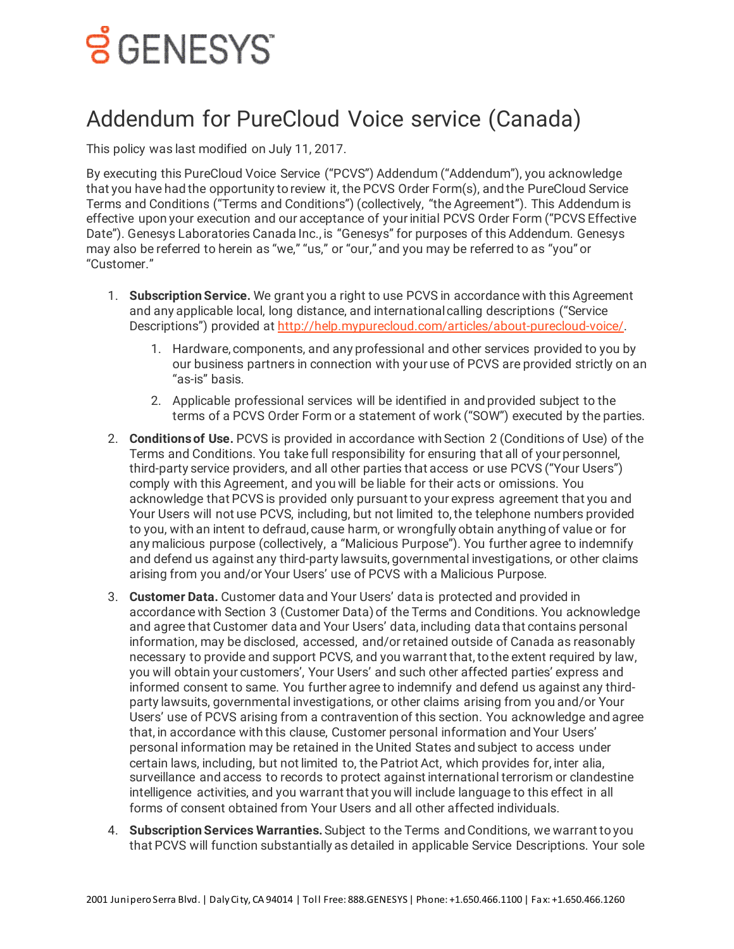## <u>ទ័CENESYS</u>

## Addendum for PureCloud Voice service (Canada)

This policy was last modified on July 11, 2017.

By executing this PureCloud Voice Service ("PCVS") Addendum ("Addendum"), you acknowledge that you have had the opportunity to review it, the PCVS Order Form(s), and the PureCloud Service Terms and Conditions ("Terms and Conditions") (collectively, "the Agreement"). This Addendum is effective upon your execution and our acceptance of your initial PCVS Order Form ("PCVS Effective Date"). Genesys Laboratories Canada Inc., is "Genesys" for purposes of this Addendum. Genesys may also be referred to herein as "we," "us," or "our," and you may be referred to as "you" or "Customer."

- 1. **Subscription Service.** We grant you a right to use PCVS in accordance with this Agreement and any applicable local, long distance, and international calling descriptions ("Service Descriptions") provided at [http://help.mypurecloud.com/articles/about-purecloud-voice/.](https://rcstaging.wpengine.com/?p=60252)
	- 1. Hardware, components, and any professional and other services provided to you by our business partners in connection with your use of PCVS are provided strictly on an "as-is" basis.
	- 2. Applicable professional services will be identified in and provided subject to the terms of a PCVS Order Form or a statement of work ("SOW") executed by the parties.
- 2. **Conditions of Use.** PCVS is provided in accordance with Section 2 (Conditions of Use) of the Terms and Conditions. You take full responsibility for ensuring that all of your personnel, third-party service providers, and all other parties that access or use PCVS ("Your Users") comply with this Agreement, and you will be liable for their acts or omissions. You acknowledge that PCVS is provided only pursuant to your express agreement that you and Your Users will not use PCVS, including, but not limited to, the telephone numbers provided to you, with an intent to defraud, cause harm, or wrongfully obtain anything of value or for any malicious purpose (collectively, a "Malicious Purpose"). You further agree to indemnify and defend us against any third-party lawsuits, governmental investigations, or other claims arising from you and/or Your Users' use of PCVS with a Malicious Purpose.
- 3. **Customer Data.** Customer data and Your Users' data is protected and provided in accordance with Section 3 (Customer Data) of the Terms and Conditions. You acknowledge and agree that Customer data and Your Users' data, including data that contains personal information, may be disclosed, accessed, and/or retained outside of Canada as reasonably necessary to provide and support PCVS, and you warrant that, to the extent required by law, you will obtain your customers', Your Users' and such other affected parties' express and informed consent to same. You further agree to indemnify and defend us against any thirdparty lawsuits, governmental investigations, or other claims arising from you and/or Your Users' use of PCVS arising from a contravention of this section. You acknowledge and agree that, in accordance with this clause, Customer personal information and Your Users' personal information may be retained in the United States and subject to access under certain laws, including, but not limited to, the Patriot Act, which provides for, inter alia, surveillance and access to records to protect against international terrorism or clandestine intelligence activities, and you warrant that you will include language to this effect in all forms of consent obtained from Your Users and all other affected individuals.
- 4. **Subscription Services Warranties.**Subject to the Terms and Conditions, we warrant to you that PCVS will function substantially as detailed in applicable Service Descriptions. Your sole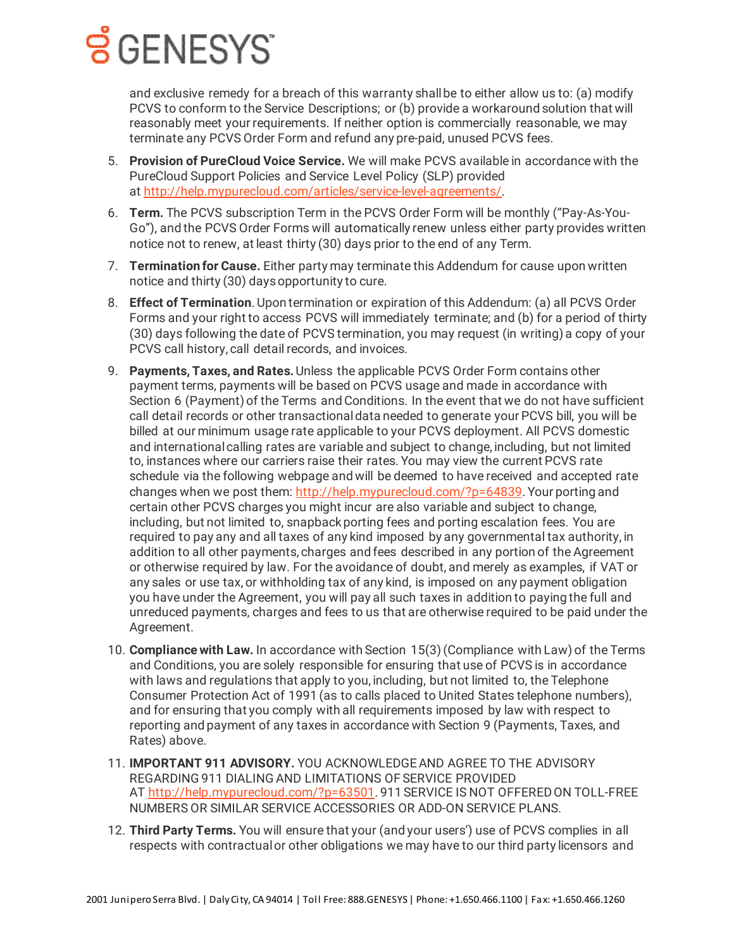## **Š** GENESYS

and exclusive remedy for a breach of this warranty shall be to either allow us to: (a) modify PCVS to conform to the Service Descriptions; or (b) provide a workaround solution that will reasonably meet your requirements. If neither option is commercially reasonable, we may terminate any PCVS Order Form and refund any pre-paid, unused PCVS fees.

- 5. **Provision of PureCloud Voice Service.** We will make PCVS available in accordance with the PureCloud Support Policies and Service Level Policy (SLP) provided at [http://help.mypurecloud.com/articles/service-level-agreements/.](https://rcstaging.wpengine.com/?p=17350)
- 6. **Term.** The PCVS subscription Term in the PCVS Order Form will be monthly ("Pay-As-You-Go"), and the PCVS Order Forms will automatically renew unless either party provides written notice not to renew, at least thirty (30) days prior to the end of any Term.
- 7. **Termination for Cause.** Either party may terminate this Addendum for cause upon written notice and thirty (30) days opportunity to cure.
- 8. **Effect of Termination**. Upon termination or expiration of this Addendum: (a) all PCVS Order Forms and your right to access PCVS will immediately terminate; and (b) for a period of thirty (30) days following the date of PCVS termination, you may request (in writing) a copy of your PCVS call history, call detail records, and invoices.
- 9. **Payments, Taxes, and Rates.**Unless the applicable PCVS Order Form contains other payment terms, payments will be based on PCVS usage and made in accordance with Section 6 (Payment) of the Terms and Conditions. In the event that we do not have sufficient call detail records or other transactional data needed to generate your PCVS bill, you will be billed at our minimum usage rate applicable to your PCVS deployment. All PCVS domestic and international calling rates are variable and subject to change, including, but not limited to, instances where our carriers raise their rates. You may view the current PCVS rate schedule via the following webpage and will be deemed to have received and accepted rate changes when we post them: [http://help.mypurecloud.com/?p=64839](http://rcstaging.wpengine.com/?p=64839). Your porting and certain other PCVS charges you might incur are also variable and subject to change, including, but not limited to, snapback porting fees and porting escalation fees. You are required to pay any and all taxes of any kind imposed by any governmental tax authority, in addition to all other payments, charges and fees described in any portion of the Agreement or otherwise required by law. For the avoidance of doubt, and merely as examples, if VAT or any sales or use tax, or withholding tax of any kind, is imposed on any payment obligation you have under the Agreement, you will pay all such taxes in addition to paying the full and unreduced payments, charges and fees to us that are otherwise required to be paid under the Agreement.
- 10. **Compliance with Law.** In accordance with Section 15(3) (Compliance with Law) of the Terms and Conditions, you are solely responsible for ensuring that use of PCVS is in accordance with laws and regulations that apply to you, including, but not limited to, the Telephone Consumer Protection Act of 1991 (as to calls placed to United States telephone numbers), and for ensuring that you comply with all requirements imposed by law with respect to reporting and payment of any taxes in accordance with Section 9 (Payments, Taxes, and Rates) above.
- 11. **IMPORTANT 911 ADVISORY.** YOU ACKNOWLEDGE AND AGREE TO THE ADVISORY REGARDING 911 DIALING AND LIMITATIONS OF SERVICE PROVIDED AT [http://help.mypurecloud.com/?p=63501.](http://rcstaging.wpengine.com/?p=63501) 911 SERVICE IS NOT OFFERED ON TOLL-FREE NUMBERS OR SIMILAR SERVICE ACCESSORIES OR ADD-ON SERVICE PLANS.
- 12. **Third Party Terms.** You will ensure that your (and your users') use of PCVS complies in all respects with contractual or other obligations we may have to our third party licensors and